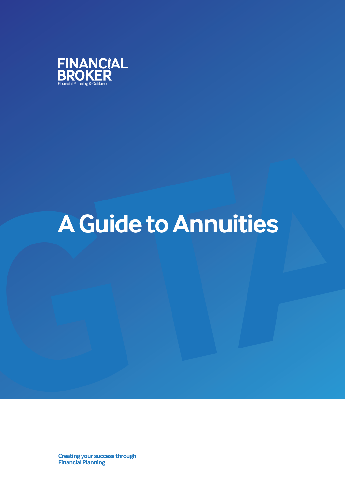

# A Guide to Annuities **A Guide to Annuities**

**Creating your success through Financial Planning**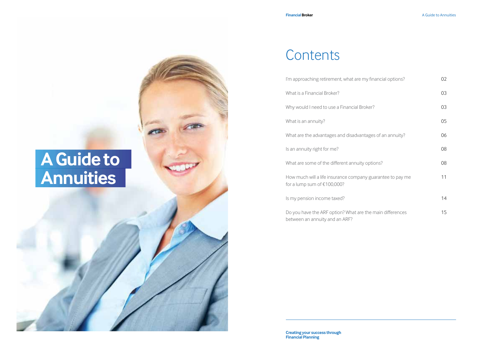### **Contents**

| I'm approaching retirement, what are my financial options?                                  | 02 |
|---------------------------------------------------------------------------------------------|----|
| What is a Financial Broker?                                                                 | 03 |
| Why would I need to use a Financial Broker?                                                 | 03 |
| What is an annuity?                                                                         | 05 |
| What are the advantages and disadvantages of an annuity?                                    | 06 |
| Is an annuity right for me?                                                                 | 08 |
| What are some of the different annuity options?                                             | 08 |
| How much will a life insurance company guarantee to pay me<br>for a lump sum of $£100,000?$ | 11 |
| Is my pension income taxed?                                                                 | 14 |
| Do you have the ARF option? What are the main differences<br>between an annuity and an ARF? | 15 |

# **A Guide to Annuities**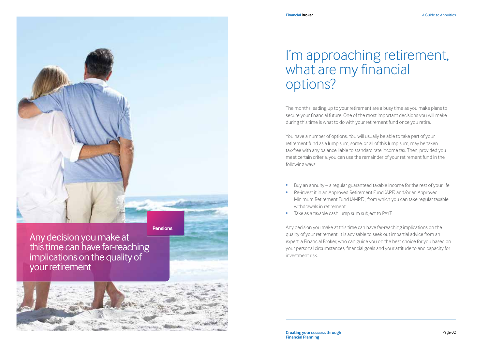

Any decision you make at this time can have far-reaching implications on the quality of your retirement



### I'm approaching retirement, what are my financial options?

The months leading up to your retirement are a busy time as you make plans to secure your financial future. One of the most important decisions you will make during this time is what to do with your retirement fund once you retire.

You have a number of options. You will usually be able to take part of your retirement fund as a lump sum; some, or all of this lump sum, may be taken tax-free with any balance liable to standard rate income tax. Then, provided you meet certain criteria, you can use the remainder of your retirement fund in the following ways:

- Buy an annuity a regular guaranteed taxable income for the rest of your life
- Re-invest it in an Approved Retirement Fund (ARF) and/or an Approved Minimum Retirement Fund (AMRF) , from which you can take regular taxable withdrawals in retirement
- Take as a taxable cash lump sum subject to PAYE

Any decision you make at this time can have far-reaching implications on the quality of your retirement. It is advisable to seek out impartial advice from an expert, a Financial Broker, who can guide you on the best choice for you based on your personal circumstances, financial goals and your attitude to and capacity for investment risk.

**Creating your success through Page 02 Financial Planning**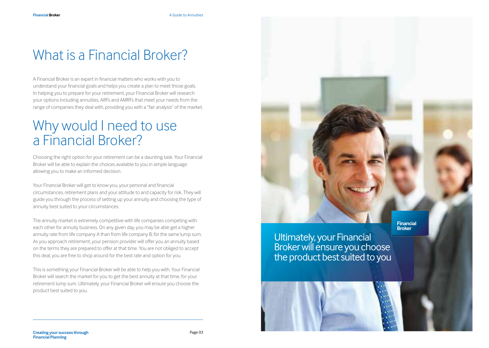## What is a Financial Broker?

A Financial Broker is an expert in financial matters who works with you to understand your financial goals and helps you create a plan to meet those goals. In helping you to prepare for your retirement, your Financial Broker will research your options including annuities, ARFs and AMRFs that meet your needs from the range of companies they deal with, providing you with a "fair analysis" of the market.

### Why would I need to use a Financial Broker?

Choosing the right option for your retirement can be a daunting task. Your Financial Broker will be able to explain the choices available to you in simple language allowing you to make an informed decision.

Your Financial Broker will get to know you, your personal and financial circumstances, retirement plans and your attitude to and capacity for risk. They will guide you through the process of setting up your annuity and choosing the type of annuity best suited to your circumstances.

The annuity market is extremely competitive with life companies competing with each other for annuity business. On any given day, you may be able get a higher annuity rate from life company A than from life company B, for the same lump sum. As you approach retirement, your pension provider will offer you an annuity based on the terms they are prepared to offer at that time. You are not obliged to accept this deal, you are free to shop around for the best rate and option for you.

This is something your Financial Broker will be able to help you with. Your Financial Broker will search the market for you to get the best annuity at that time, for your retirement lump sum. Ultimately, your Financial Broker will ensure you choose the product best suited to you.

Ultimately, your Financial Broker will ensure you choose the product best suited to you

**Financial Broker**



**Creating your success through Page 03 Financial Planning**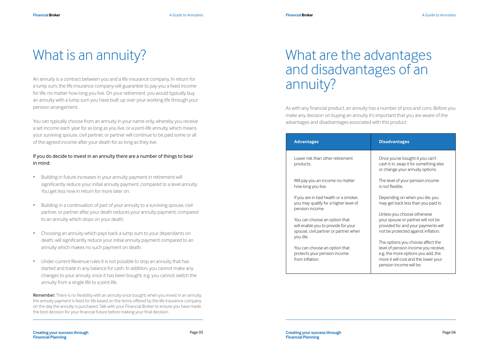### What is an annuity?

An annuity is a contract between you and a life insurance company. In return for a lump sum, the life insurance company will guarantee to pay you a fixed income for life, no matter how long you live. On your retirement, you would typically buy an annuity with a lump sum you have built up over your working life through your pension arrangement.

You can typically choose from an annuity in your name only, whereby you receive a set income each year for as long as you live, or a joint-life annuity, which means your surviving spouse, civil partner, or partner will continue to be paid some or all of the agreed income after your death for as long as they live.

### If you do decide to invest in an annuity there are a number of things to bear in mind:

- Building in future increases in your annuity payment in retirement will significantly reduce your initial annuity payment, compared to a level annuity. You get less now in return for more later on.
- Building in a continuation of part of your annuity to a surviving spouse, civil partner, or partner after your death reduces your annuity payment, compared to an annuity which stops on your death.
- Choosing an annuity which pays back a lump sum to your dependants on death, will significantly reduce your initial annuity payment compared to an annuity which makes no such payment on death.
- Under current Revenue rules it is not possible to stop an annuity that has started and trade in any balance for cash. In addition, you cannot make any changes to your annuity once it has been bought, e.g. you cannot switch the annuity from a single life to a joint life.

Remember: There is no flexibility with an annuity once bought; when you invest in an annuity, the annuity payment is fixed for life based on the terms offered by the life insurance company on the day the annuity is purchased. Talk with your Financial Broker to ensure you have made the best decision for your financial future before making your final decision.

### What are the advantages and disadvantages of an annuity?

As with any financial product, an annuity has a number of pros and cons. Before you make any decision on buying an annuity it's important that you are aware of the advantages and disadvantages associated with this product.

| <b>Advantages</b>                                                                                                         | <b>Disadvantages</b>                                                                                                                                                               |
|---------------------------------------------------------------------------------------------------------------------------|------------------------------------------------------------------------------------------------------------------------------------------------------------------------------------|
| Lower risk than other retirement<br>products.                                                                             | Once you've bought it you can't<br>cash it in, swap it for something else<br>or change your annuity options.                                                                       |
| Will pay you an income no matter<br>how long you live.                                                                    | The level of your pension income<br>is not flexible.                                                                                                                               |
| If you are in bad health or a smoker,<br>you may qualify for a higher level of<br>pension income.                         | Depending on when you die, you<br>may get back less than you paid in.                                                                                                              |
| You can choose an option that<br>will enable you to provide for your<br>spouse, civil partner or partner when<br>you die. | Unless you choose otherwise<br>your spouse or partner will not be<br>provided for and your payments will<br>not be protected against inflation.                                    |
| You can choose an option that<br>protects your pension income<br>from inflation.                                          | The options you choose affect the<br>level of pension income you receive,<br>e.g. the more options you add, the<br>more it will cost and the lower your<br>pension income will be. |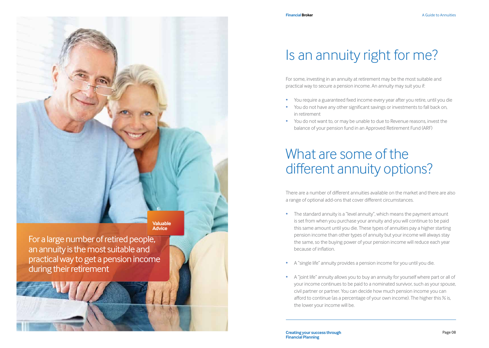

For a large number of retired people, an annuity is the most suitable and practical way to get a pension income during their retirement

### Is an annuity right for me?

For some, investing in an annuity at retirement may be the most suitable and practical way to secure a pension income. An annuity may suit you if:

- You require a guaranteed fixed income every year after you retire, until you die
- You do not have any other significant savings or investments to fall back on, in retirement
- You do not want to, or may be unable to due to Revenue reasons, invest the balance of your pension fund in an Approved Retirement Fund (ARF)

### What are some of the different annuity options?

There are a number of different annuities available on the market and there are also a range of optional add-ons that cover different circumstances.

- The standard annuity is a "level annuity", which means the payment amount is set from when you purchase your annuity and you will continue to be paid this same amount until you die. These types of annuities pay a higher starting pension income than other types of annuity but your income will always stay the same, so the buying power of your pension income will reduce each year because of inflation.
- A "single life" annuity provides a pension income for you until you die.
- A "joint life" annuity allows you to buy an annuity for yourself where part or all of your income continues to be paid to a nominated survivor, such as your spouse, civil partner or partner. You can decide how much pension income you can afford to continue (as a percentage of your own income). The higher this % is, the lower your income will be.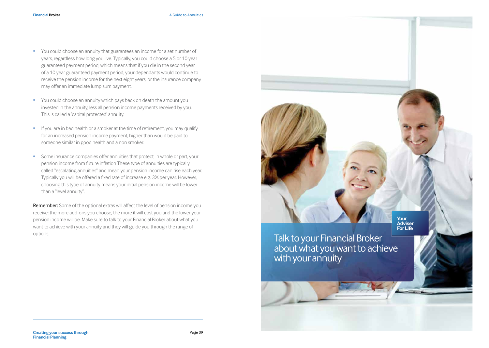- You could choose an annuity that guarantees an income for a set number of years, regardless how long you live. Typically, you could choose a 5 or 10 year guaranteed payment period, which means that if you die in the second year of a 10 year guaranteed payment period, your dependants would continue to receive the pension income for the next eight years, or the insurance company may offer an immediate lump sum payment.
- You could choose an annuity which pays back on death the amount you invested in the annuity, less all pension income payments received by you. This is called a 'capital protected' annuity.
- If you are in bad health or a smoker at the time of retirement, you may qualify for an increased pension income payment, higher than would be paid to someone similar in good health and a non smoker.
- Some insurance companies offer annuities that protect, in whole or part, your pension income from future inflation These type of annuities are typically called "escalating annuities" and mean your pension income can rise each year. Typically you will be offered a fixed rate of increase e.g. 3% per year. However, choosing this type of annuity means your initial pension income will be lower than a "level annuity".

Remember: Some of the optional extras will affect the level of pension income you receive: the more add-ons you choose, the more it will cost you and the lower your pension income will be. Make sure to talk to your Financial Broker about what you want to achieve with your annuity and they will guide you through the range of options.

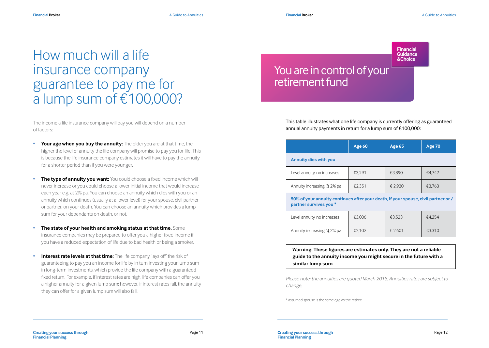**Financial Broker A** Guide to Annuities

**Financial**

### How much will a life **Bullet Contained** insurance company guarantee to pay me for a lump sum of €100,000?

The income a life insurance company will pay you will depend on a number of factors:

- **Your age when you buy the annuity:** The older you are at that time, the higher the level of annuity the life company will promise to pay you for life. This is because the life insurance company estimates it will have to pay the annuity for a shorter period than if you were younger.
- **The type of annuity you want:** You could choose a fixed income which will never increase or you could choose a lower initial income that would increase each year e.g. at 2% pa. You can choose an annuity which dies with you or an annuity which continues (usually at a lower level) for your spouse, civil partner or partner, on your death. You can choose an annuity which provides a lump sum for your dependants on death, or not.
- **The state of your health and smoking status at that time.** Some insurance companies may be prepared to offer you a higher fixed income if you have a reduced expectation of life due to bad health or being a smoker.
- **Interest rate levels at that time:** The life company 'lays off' the risk of guaranteeing to pay you an income for life by in turn investing your lump sum in long-term investments, which provide the life company with a guaranteed fixed return. For example, if interest rates are high, life companies can offer you a higher annuity for a given lump sum; however, if interest rates fall, the annuity they can offer for a given lump sum will also fall.

### You are in control of your retirement fund

This table illustrates what one life company is currently offering as guaranteed annual annuity payments in return for a lump sum of €100,000:

|                                                                                                              | Age 60 | <b>Age 65</b> | <b>Age 70</b> |  |
|--------------------------------------------------------------------------------------------------------------|--------|---------------|---------------|--|
| <b>Annuity dies with you</b>                                                                                 |        |               |               |  |
| Level annuity, no increases                                                                                  | €3.291 | €3.890        | €4.747        |  |
| Annuity increasing @ 2% pa                                                                                   | €2.351 | € 2.930       | €3.763        |  |
| 50% of your annuity continues after your death, if your spouse, civil partner or /<br>partner survives you * |        |               |               |  |
| Level annuity, no increases                                                                                  | €3.006 | €3.523        | €4.254        |  |
| Annuity increasing @ 2% pa                                                                                   | €2.102 | € 2.601       | €3.310        |  |

**Warning: These figures are estimates only. They are not a reliable guide to the annuity income you might secure in the future with a similar lump sum**

*Please note: the annuities are quoted March 2015. Annuities rates are subject to change.* 

\* assumed spouse is the same age as the retiree

**Financial Planning**

**Creating your success through Creating your success through Creating your success through Page 12** Page 12 **Creating your success through Financial Planning**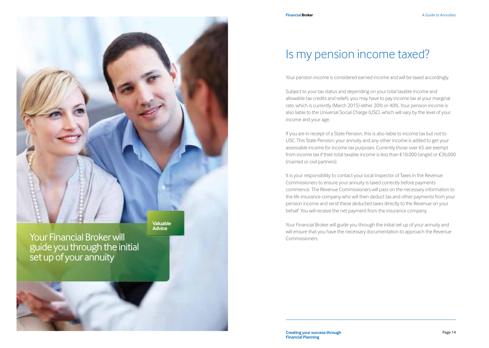**Valuable Advice**

Your Financial Broker will guide you through the initial set up of your annuity

### Is my pension income taxed?

Your pension income is considered earned income and will be taxed accordingly.

Subject to your tax status and depending on your total taxable income and allowable tax credits and reliefs, you may have to pay income tax at your marginal rate, which is currently (March 2015) either 20% or 40%. Your pension income is also liable to the Universal Social Charge (USC), which will vary by the level of your income and your age.

If you are in receipt of a State Pension, this is also liable to income tax but not to USC. This State Pension, your annuity and any other income is added to get your assessable income for income tax purposes. Currently those over 65 are exempt from income tax if their total taxable income is less than €18,000 (single) or €36,000 (married or civil partners).

It is your responsibility to contact your local Inspector of Taxes in the Revenue Commissioners to ensure your annuity is taxed correctly before payments commence. The Revenue Commissioners will pass on the necessary information to the life insurance company who will then deduct tax and other payments from your pension income and send these deducted taxes directly to the Revenue on your behalf. You will receive the net payment from the insurance company.

Your Financial Broker will guide you through the initial set up of your annuity and will ensure that you have the necessary documentation to approach the Revenue Commissioners.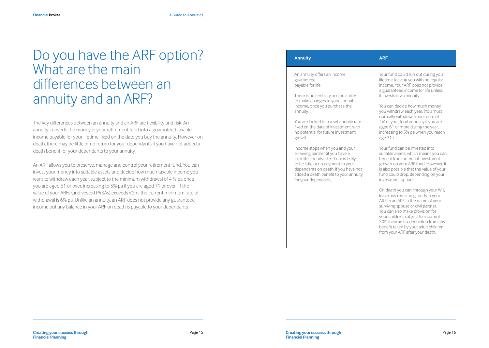### Do you have the ARF option? What are the main differences between an annuity and an ARF?

The key differences between an annuity and an ARF are flexibility and risk. An annuity converts the money in your retirement fund into a guaranteed taxable income payable for your lifetime, fixed on the date you buy the annuity. However on death, there may be little or no return for your dependants if you have not added a death benefit for your dependants to your annuity.

An ARF allows you to preserve, manage and control your retirement fund. You can invest your money into suitable assets and decide how much taxable income you want to withdraw each year, subject to the minimum withdrawal of 4 % pa once you are aged 61 or over, increasing to 5% pa if you are aged 71 or over. If the value of your ARFs (and vested PRSAs) exceeds €2m, the current minimum rate of withdrawal is 6% pa. Unlike an annuity, an ARF does not provide any guaranteed income but any balance in your ARF on death is payable to your dependants.

| <b>Annuity</b>                                                                                                                                                                                                                                                                                                                                                                                                                                                                                                                                                                              | <b>ARF</b>                                                                                                                                                                                                                                                                                                                                                                                                                                                                                                                                                                                                                                                                                                                                                                                                                                                                                                                                                                                                                                  |
|---------------------------------------------------------------------------------------------------------------------------------------------------------------------------------------------------------------------------------------------------------------------------------------------------------------------------------------------------------------------------------------------------------------------------------------------------------------------------------------------------------------------------------------------------------------------------------------------|---------------------------------------------------------------------------------------------------------------------------------------------------------------------------------------------------------------------------------------------------------------------------------------------------------------------------------------------------------------------------------------------------------------------------------------------------------------------------------------------------------------------------------------------------------------------------------------------------------------------------------------------------------------------------------------------------------------------------------------------------------------------------------------------------------------------------------------------------------------------------------------------------------------------------------------------------------------------------------------------------------------------------------------------|
| An annuity offers an income<br>guaranteed<br>payable for life.<br>There is no flexibility and no ability<br>to make changes to your annual<br>income, once you purchase the<br>annuity.<br>You are locked into a set annuity rate<br>fixed on the date of investment with<br>no potential for future investment<br>growth.<br>Income stops when you and your<br>surviving partner (if you have a<br>joint life annuity) die; there is likely<br>to be little or no payment to your<br>dependants on death, if you have not<br>added a death benefit to your annuity<br>for your dependants. | Your fund could run out during your<br>lifetime, leaving you with no regular<br>income. Your ARF does not provide<br>a guaranteed income for life unless<br>it invests in an annuity.<br>You can decide how much money<br>you withdraw each year. (You must<br>normally withdraw a minimum of<br>4% of your fund annually if you are<br>aged 61 or more during the year,<br>increasing to 5% pa when you reach<br>age 71.)<br>Your fund can be invested into<br>suitable assets, which means you can<br>benefit from potential investment<br>growth on your ARF fund. However, it<br>is also possible that the value of your<br>fund could drop, depending on your<br>investment options.<br>On death you can, through your Will,<br>leave any remaining funds in your<br>ARF to an ARF in the name of your<br>surviving spouse or civil partner.<br>You can also make provision for<br>your children, subject to a current<br>30% income tax deduction from any<br>benefit taken by your adult children<br>from your ARF after your death. |